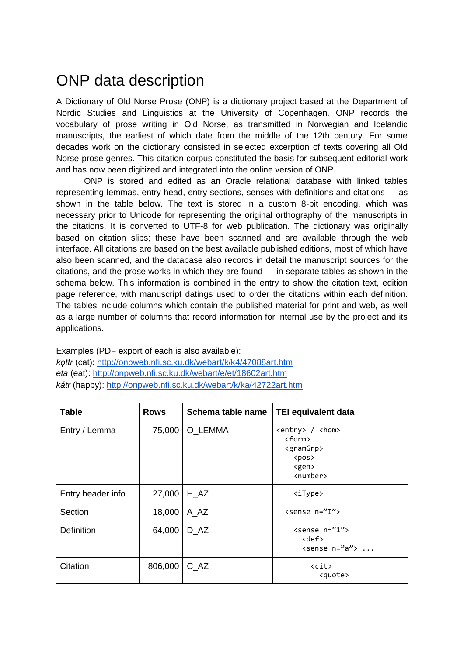## ONP data description

A Dictionary of Old Norse Prose (ONP) is a dictionary project based at the Department of Nordic Studies and Linguistics at the University of Copenhagen. ONP records the vocabulary of prose writing in Old Norse, as transmitted in Norwegian and Icelandic manuscripts, the earliest of which date from the middle of the 12th century. For some decades work on the dictionary consisted in selected excerption of texts covering all Old Norse prose genres. This citation corpus constituted the basis for subsequent editorial work and has now been digitized and integrated into the online version of ONP.

ONP is stored and edited as an Oracle relational database with linked tables representing lemmas, entry head, entry sections, senses with definitions and citations — as shown in the table below. The text is stored in a custom 8-bit encoding, which was necessary prior to Unicode for representing the original orthography of the manuscripts in the citations. It is converted to UTF-8 for web publication. The dictionary was originally based on citation slips; these have been scanned and are available through the web interface. All citations are based on the best available published editions, most of which have also been scanned, and the database also records in detail the manuscript sources for the citations, and the prose works in which they are found — in separate tables as shown in the schema below. This information is combined in the entry to show the citation text, edition page reference, with manuscript datings used to order the citations within each definition. The tables include columns which contain the published material for print and web, as well as a large number of columns that record information for internal use by the project and its applications.

Examples (PDF export of each is also available): *kǫttr* (cat):<http://onpweb.nfi.sc.ku.dk/webart/k/k4/47088art.htm> *eta* (eat):<http://onpweb.nfi.sc.ku.dk/webart/e/et/18602art.htm> *kátr* (happy):<http://onpweb.nfi.sc.ku.dk/webart/k/ka/42722art.htm>

| <b>Table</b>      | <b>Rows</b> | Schema table name | <b>TEI equivalent data</b>                                                                                                                              |
|-------------------|-------------|-------------------|---------------------------------------------------------------------------------------------------------------------------------------------------------|
| Entry / Lemma     | 75,000      | O LEMMA           | <entry> / <hom><br/><form><br/><gramgrp><br/><math>&lt;</math>pos<math>&gt;</math><br/><gen><br/><number></number></gen></gramgrp></form></hom></entry> |
| Entry header info | 27,000      | H AZ              | <itype></itype>                                                                                                                                         |
| Section           | 18,000      | $A_AZ$            | <sense n="I"></sense>                                                                                                                                   |
| <b>Definition</b> | 64,000      | D AZ              | $\langle$ sense n="1"><br>$<$ def $>$<br>$\langle$ sense n="a">                                                                                         |
| Citation          | 806,000     | C AZ              | <cit><br/><quote></quote></cit>                                                                                                                         |